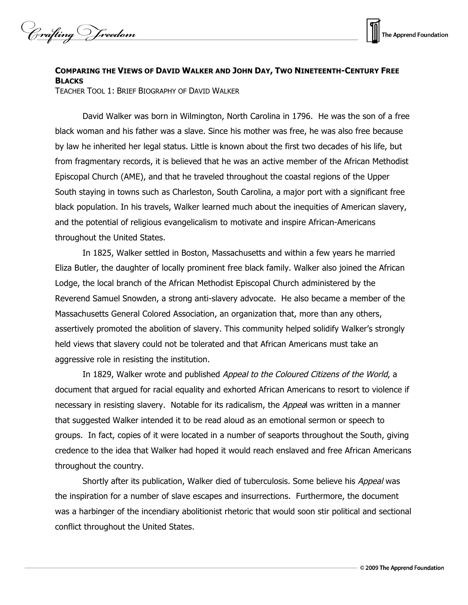



## **COMPARING THE VIEWS OF DAVID WALKER AND JOHN DAY, TWO NINETEENTH-CENTURY FREE BLACKS**

TEACHER TOOL 1: BRIEF BIOGRAPHY OF DAVID WALKER

David Walker was born in Wilmington, North Carolina in 1796. He was the son of a free black woman and his father was a slave. Since his mother was free, he was also free because by law he inherited her legal status. Little is known about the first two decades of his life, but from fragmentary records, it is believed that he was an active member of the African Methodist Episcopal Church (AME), and that he traveled throughout the coastal regions of the Upper South staying in towns such as Charleston, South Carolina, a major port with a significant free black population. In his travels, Walker learned much about the inequities of American slavery, and the potential of religious evangelicalism to motivate and inspire African-Americans throughout the United States.

In 1825, Walker settled in Boston, Massachusetts and within a few years he married Eliza Butler, the daughter of locally prominent free black family. Walker also joined the African Lodge, the local branch of the African Methodist Episcopal Church administered by the Reverend Samuel Snowden, a strong anti-slavery advocate. He also became a member of the Massachusetts General Colored Association, an organization that, more than any others, assertively promoted the abolition of slavery. This community helped solidify Walker's strongly held views that slavery could not be tolerated and that African Americans must take an aggressive role in resisting the institution.

In 1829, Walker wrote and published Appeal to the Coloured Citizens of the World, a document that argued for racial equality and exhorted African Americans to resort to violence if necessary in resisting slavery. Notable for its radicalism, the *Appeal* was written in a manner that suggested Walker intended it to be read aloud as an emotional sermon or speech to groups. In fact, copies of it were located in a number of seaports throughout the South, giving credence to the idea that Walker had hoped it would reach enslaved and free African Americans throughout the country.

Shortly after its publication, Walker died of tuberculosis. Some believe his Appeal was the inspiration for a number of slave escapes and insurrections. Furthermore, the document was a harbinger of the incendiary abolitionist rhetoric that would soon stir political and sectional conflict throughout the United States.